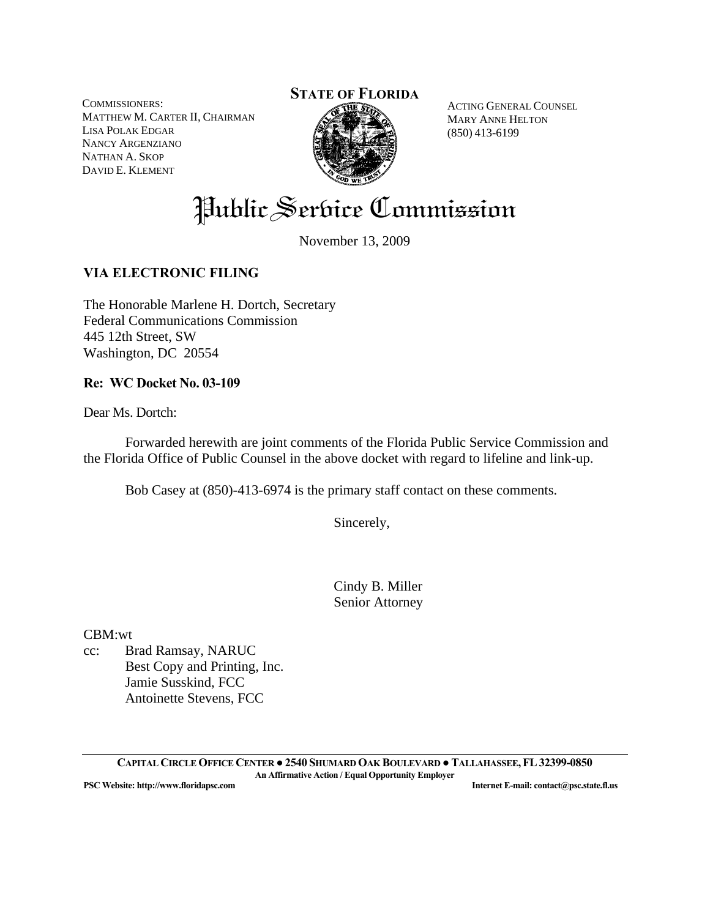COMMISSIONERS: MATTHEW M. CARTER II, CHAIRMAN LISA POLAK EDGAR NANCY ARGENZIANO NATHAN A. SKOP DAVID E. KLEMENT

## **STATE OF FLORIDA**



ACTING GENERAL COUNSEL MARY ANNE HELTON (850) 413-6199

Public Service Commission

November 13, 2009

## **VIA ELECTRONIC FILING**

The Honorable Marlene H. Dortch, Secretary Federal Communications Commission 445 12th Street, SW Washington, DC 20554

### **Re: WC Docket No. 03-109**

Dear Ms. Dortch:

 Forwarded herewith are joint comments of the Florida Public Service Commission and the Florida Office of Public Counsel in the above docket with regard to lifeline and link-up.

Bob Casey at (850)-413-6974 is the primary staff contact on these comments.

Sincerely,

 Cindy B. Miller Senior Attorney

CBM:wt

cc: Brad Ramsay, NARUC Best Copy and Printing, Inc. Jamie Susskind, FCC Antoinette Stevens, FCC

**CAPITAL CIRCLE OFFICE CENTER ●2540 SHUMARD OAK BOULEVARD ●TALLAHASSEE,FL32399-0850 An Affirmative Action / Equal Opportunity Employer PSC Website: http://www.floridapsc.com Internet E-mail: contact@psc.state.fl.us**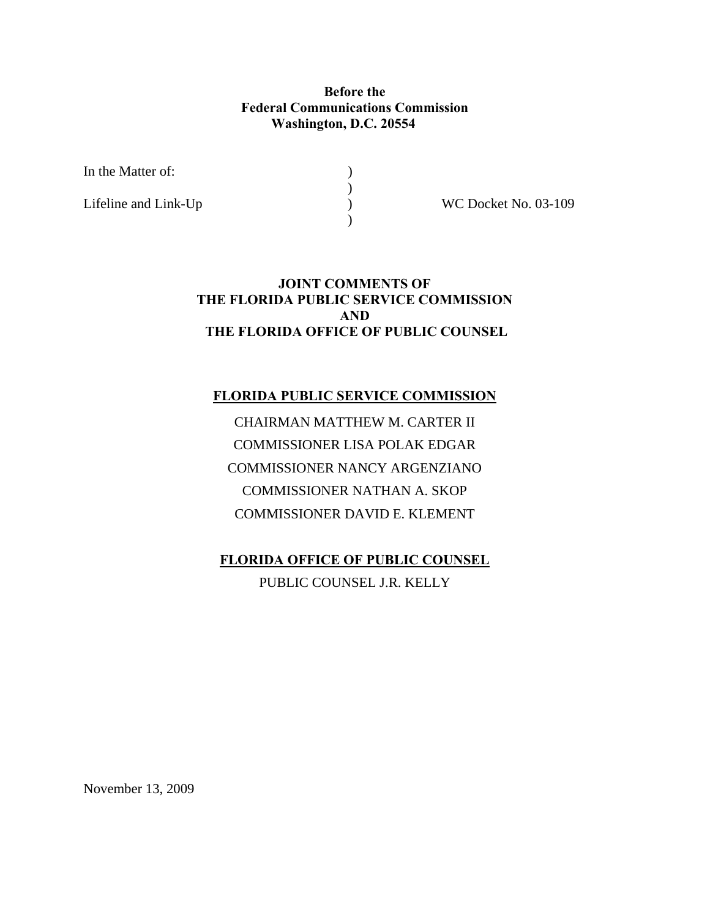## **Before the Federal Communications Commission Washington, D.C. 20554**

In the Matter of:  $\qquad \qquad$  )

 $)$ 

 $)$ 

Lifeline and Link-Up ) WC Docket No. 03-109

## **JOINT COMMENTS OF THE FLORIDA PUBLIC SERVICE COMMISSION AND THE FLORIDA OFFICE OF PUBLIC COUNSEL**

### **FLORIDA PUBLIC SERVICE COMMISSION**

CHAIRMAN MATTHEW M. CARTER II COMMISSIONER LISA POLAK EDGAR COMMISSIONER NANCY ARGENZIANO COMMISSIONER NATHAN A. SKOP COMMISSIONER DAVID E. KLEMENT

**FLORIDA OFFICE OF PUBLIC COUNSEL**

PUBLIC COUNSEL J.R. KELLY

November 13, 2009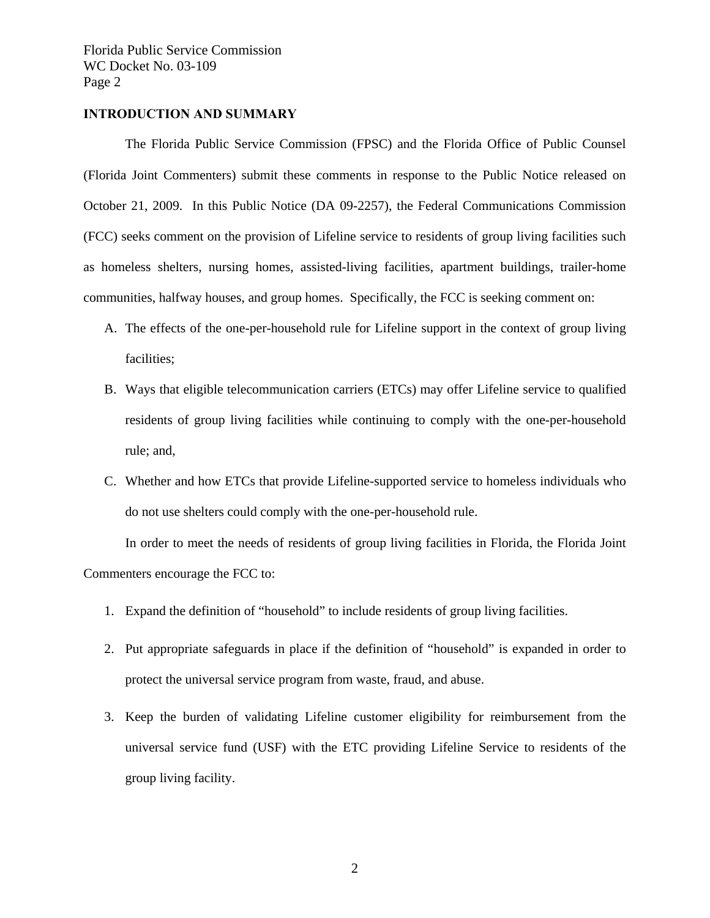#### **INTRODUCTION AND SUMMARY**

 The Florida Public Service Commission (FPSC) and the Florida Office of Public Counsel (Florida Joint Commenters) submit these comments in response to the Public Notice released on October 21, 2009. In this Public Notice (DA 09-2257), the Federal Communications Commission (FCC) seeks comment on the provision of Lifeline service to residents of group living facilities such as homeless shelters, nursing homes, assisted-living facilities, apartment buildings, trailer-home communities, halfway houses, and group homes. Specifically, the FCC is seeking comment on:

- A. The effects of the one-per-household rule for Lifeline support in the context of group living facilities;
- B. Ways that eligible telecommunication carriers (ETCs) may offer Lifeline service to qualified residents of group living facilities while continuing to comply with the one-per-household rule; and,
- C. Whether and how ETCs that provide Lifeline-supported service to homeless individuals who do not use shelters could comply with the one-per-household rule.

 In order to meet the needs of residents of group living facilities in Florida, the Florida Joint Commenters encourage the FCC to:

- 1. Expand the definition of "household" to include residents of group living facilities.
- 2. Put appropriate safeguards in place if the definition of "household" is expanded in order to protect the universal service program from waste, fraud, and abuse.
- 3. Keep the burden of validating Lifeline customer eligibility for reimbursement from the universal service fund (USF) with the ETC providing Lifeline Service to residents of the group living facility.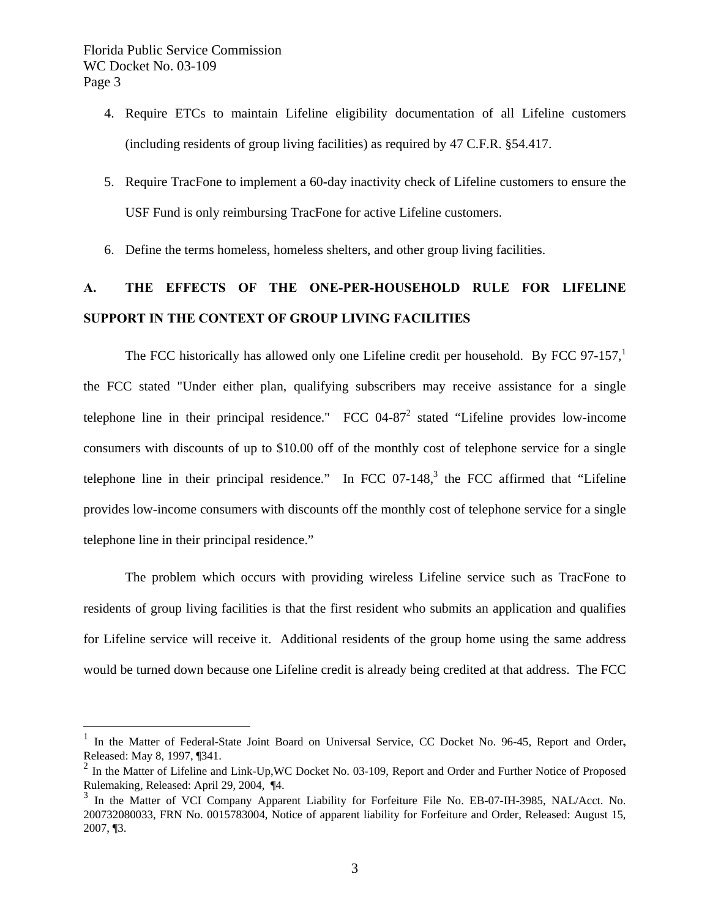$\overline{a}$ 

- 4. Require ETCs to maintain Lifeline eligibility documentation of all Lifeline customers (including residents of group living facilities) as required by 47 C.F.R. §54.417.
- 5. Require TracFone to implement a 60-day inactivity check of Lifeline customers to ensure the USF Fund is only reimbursing TracFone for active Lifeline customers.
- 6. Define the terms homeless, homeless shelters, and other group living facilities.

## **A. THE EFFECTS OF THE ONE-PER-HOUSEHOLD RULE FOR LIFELINE SUPPORT IN THE CONTEXT OF GROUP LIVING FACILITIES**

The FCC historically has allowed only one Lifeline credit per household. By FCC 97-157, $\frac{1}{1}$ the FCC stated "Under either plan, qualifying subscribers may receive assistance for a single telephone line in their principal residence."  $\text{FCC } 04-87^2$  stated "Lifeline provides low-income consumers with discounts of up to \$10.00 off of the monthly cost of telephone service for a single telephone line in their principal residence." In FCC 07-148, $3$  the FCC affirmed that "Lifeline provides low-income consumers with discounts off the monthly cost of telephone service for a single telephone line in their principal residence."

 The problem which occurs with providing wireless Lifeline service such as TracFone to residents of group living facilities is that the first resident who submits an application and qualifies for Lifeline service will receive it. Additional residents of the group home using the same address would be turned down because one Lifeline credit is already being credited at that address. The FCC

In the Matter of Federal-State Joint Board on Universal Service, CC Docket No. 96-45, Report and Order, Released: May 8, 1997, ¶341.

 $2 \text{ In the Matter of Lifeline and Link-Up, WC Docket No. 03-109, Report and Order and Further Notice of Proposed }$ Rulemaking, Released: April 29, 2004, ¶4.

In the Matter of VCI Company Apparent Liability for Forfeiture File No. EB-07-IH-3985, NAL/Acct. No. 200732080033, FRN No. 0015783004, Notice of apparent liability for Forfeiture and Order, Released: August 15, 2007, ¶3.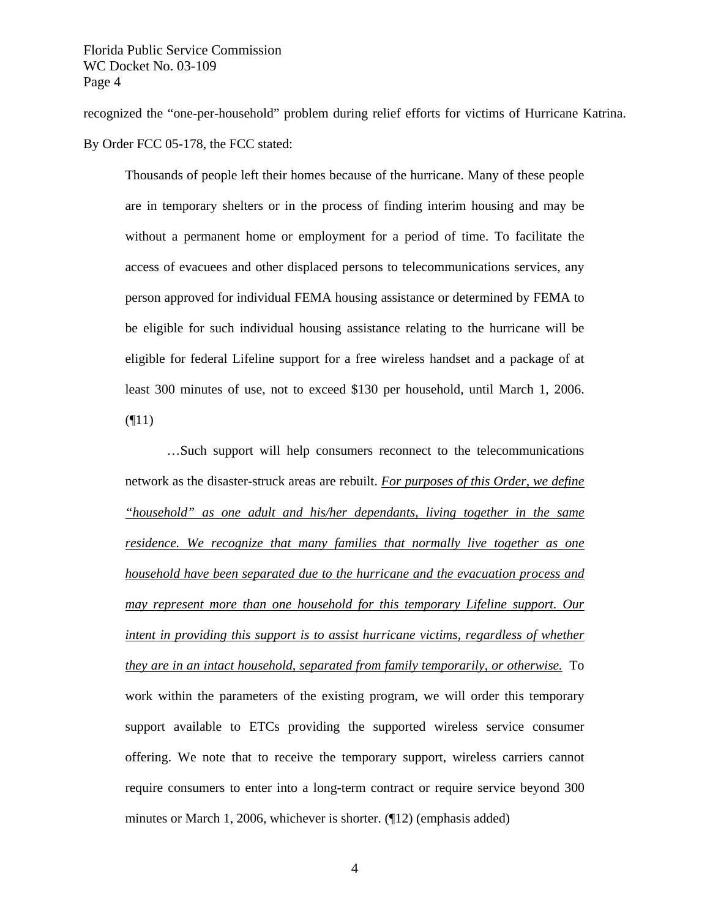recognized the "one-per-household" problem during relief efforts for victims of Hurricane Katrina. By Order FCC 05-178, the FCC stated:

Thousands of people left their homes because of the hurricane. Many of these people are in temporary shelters or in the process of finding interim housing and may be without a permanent home or employment for a period of time. To facilitate the access of evacuees and other displaced persons to telecommunications services, any person approved for individual FEMA housing assistance or determined by FEMA to be eligible for such individual housing assistance relating to the hurricane will be eligible for federal Lifeline support for a free wireless handset and a package of at least 300 minutes of use, not to exceed \$130 per household, until March 1, 2006.  $($ [11)

 …Such support will help consumers reconnect to the telecommunications network as the disaster-struck areas are rebuilt. *For purposes of this Order, we define "household" as one adult and his/her dependants, living together in the same residence. We recognize that many families that normally live together as one household have been separated due to the hurricane and the evacuation process and may represent more than one household for this temporary Lifeline support. Our intent in providing this support is to assist hurricane victims, regardless of whether they are in an intact household, separated from family temporarily, or otherwise.* To work within the parameters of the existing program, we will order this temporary support available to ETCs providing the supported wireless service consumer offering. We note that to receive the temporary support, wireless carriers cannot require consumers to enter into a long-term contract or require service beyond 300 minutes or March 1, 2006, whichever is shorter. (¶12) (emphasis added)

4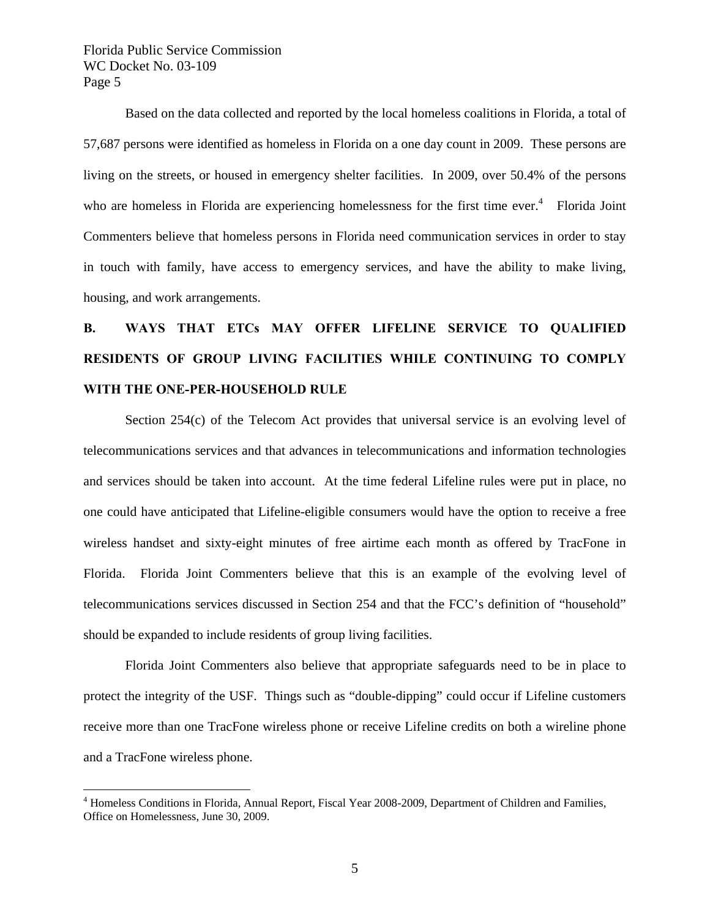$\overline{a}$ 

 Based on the data collected and reported by the local homeless coalitions in Florida, a total of 57,687 persons were identified as homeless in Florida on a one day count in 2009. These persons are living on the streets, or housed in emergency shelter facilities. In 2009, over 50.4% of the persons who are homeless in Florida are experiencing homelessness for the first time ever.<sup>4</sup> Florida Joint Commenters believe that homeless persons in Florida need communication services in order to stay in touch with family, have access to emergency services, and have the ability to make living, housing, and work arrangements.

## **B. WAYS THAT ETCs MAY OFFER LIFELINE SERVICE TO QUALIFIED RESIDENTS OF GROUP LIVING FACILITIES WHILE CONTINUING TO COMPLY WITH THE ONE-PER-HOUSEHOLD RULE**

 Section 254(c) of the Telecom Act provides that universal service is an evolving level of telecommunications services and that advances in telecommunications and information technologies and services should be taken into account. At the time federal Lifeline rules were put in place, no one could have anticipated that Lifeline-eligible consumers would have the option to receive a free wireless handset and sixty-eight minutes of free airtime each month as offered by TracFone in Florida. Florida Joint Commenters believe that this is an example of the evolving level of telecommunications services discussed in Section 254 and that the FCC's definition of "household" should be expanded to include residents of group living facilities.

 Florida Joint Commenters also believe that appropriate safeguards need to be in place to protect the integrity of the USF. Things such as "double-dipping" could occur if Lifeline customers receive more than one TracFone wireless phone or receive Lifeline credits on both a wireline phone and a TracFone wireless phone.

<sup>&</sup>lt;sup>4</sup> Homeless Conditions in Florida, Annual Report, Fiscal Year 2008-2009, Department of Children and Families, Office on Homelessness, June 30, 2009.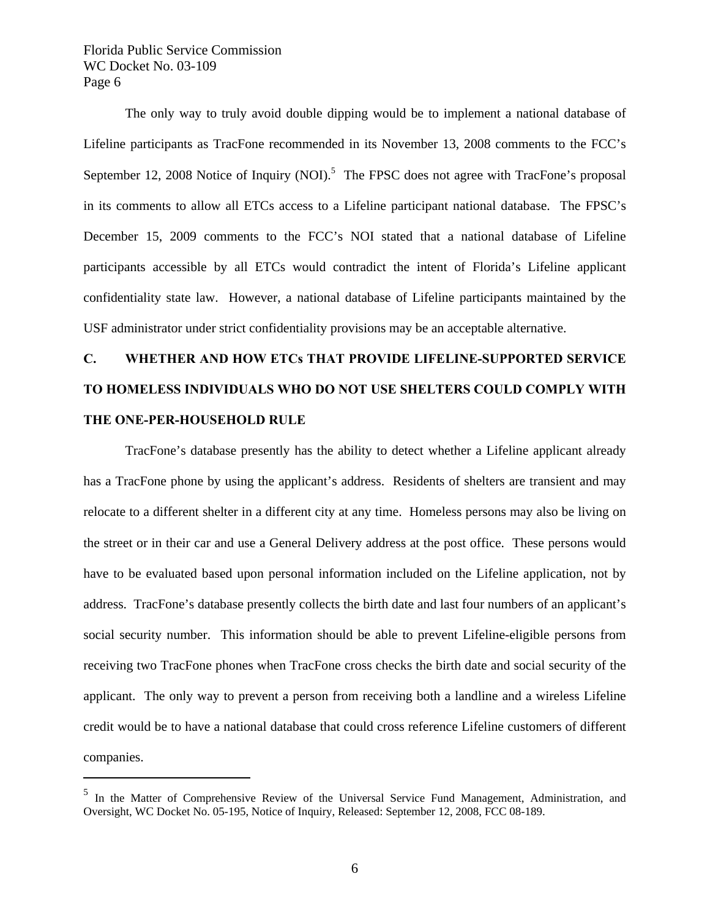$\overline{a}$ 

 The only way to truly avoid double dipping would be to implement a national database of Lifeline participants as TracFone recommended in its November 13, 2008 comments to the FCC's September 12, 2008 Notice of Inquiry (NOI).<sup>5</sup> The FPSC does not agree with TracFone's proposal in its comments to allow all ETCs access to a Lifeline participant national database. The FPSC's December 15, 2009 comments to the FCC's NOI stated that a national database of Lifeline participants accessible by all ETCs would contradict the intent of Florida's Lifeline applicant confidentiality state law. However, a national database of Lifeline participants maintained by the USF administrator under strict confidentiality provisions may be an acceptable alternative.

# **C. WHETHER AND HOW ETCs THAT PROVIDE LIFELINE-SUPPORTED SERVICE TO HOMELESS INDIVIDUALS WHO DO NOT USE SHELTERS COULD COMPLY WITH THE ONE-PER-HOUSEHOLD RULE**

 TracFone's database presently has the ability to detect whether a Lifeline applicant already has a TracFone phone by using the applicant's address. Residents of shelters are transient and may relocate to a different shelter in a different city at any time. Homeless persons may also be living on the street or in their car and use a General Delivery address at the post office. These persons would have to be evaluated based upon personal information included on the Lifeline application, not by address. TracFone's database presently collects the birth date and last four numbers of an applicant's social security number. This information should be able to prevent Lifeline-eligible persons from receiving two TracFone phones when TracFone cross checks the birth date and social security of the applicant. The only way to prevent a person from receiving both a landline and a wireless Lifeline credit would be to have a national database that could cross reference Lifeline customers of different companies.

<sup>&</sup>lt;sup>5</sup> In the Matter of Comprehensive Review of the Universal Service Fund Management, Administration, and Oversight, WC Docket No. 05-195, Notice of Inquiry, Released: September 12, 2008, FCC 08-189.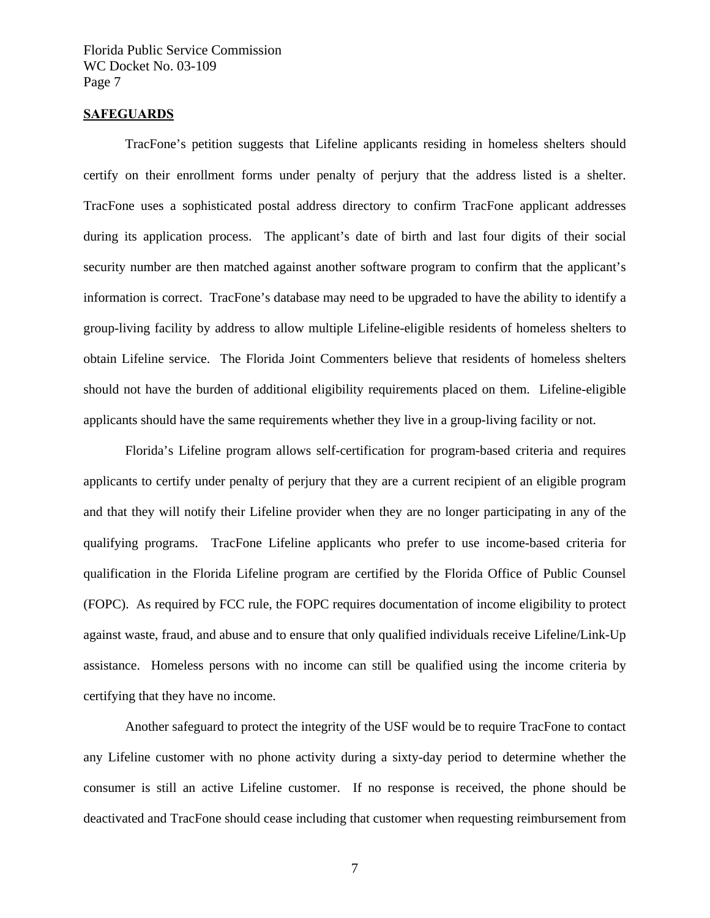#### **SAFEGUARDS**

 TracFone's petition suggests that Lifeline applicants residing in homeless shelters should certify on their enrollment forms under penalty of perjury that the address listed is a shelter. TracFone uses a sophisticated postal address directory to confirm TracFone applicant addresses during its application process. The applicant's date of birth and last four digits of their social security number are then matched against another software program to confirm that the applicant's information is correct. TracFone's database may need to be upgraded to have the ability to identify a group-living facility by address to allow multiple Lifeline-eligible residents of homeless shelters to obtain Lifeline service. The Florida Joint Commenters believe that residents of homeless shelters should not have the burden of additional eligibility requirements placed on them. Lifeline-eligible applicants should have the same requirements whether they live in a group-living facility or not.

 Florida's Lifeline program allows self-certification for program-based criteria and requires applicants to certify under penalty of perjury that they are a current recipient of an eligible program and that they will notify their Lifeline provider when they are no longer participating in any of the qualifying programs. TracFone Lifeline applicants who prefer to use income-based criteria for qualification in the Florida Lifeline program are certified by the Florida Office of Public Counsel (FOPC). As required by FCC rule, the FOPC requires documentation of income eligibility to protect against waste, fraud, and abuse and to ensure that only qualified individuals receive Lifeline/Link-Up assistance. Homeless persons with no income can still be qualified using the income criteria by certifying that they have no income.

 Another safeguard to protect the integrity of the USF would be to require TracFone to contact any Lifeline customer with no phone activity during a sixty-day period to determine whether the consumer is still an active Lifeline customer. If no response is received, the phone should be deactivated and TracFone should cease including that customer when requesting reimbursement from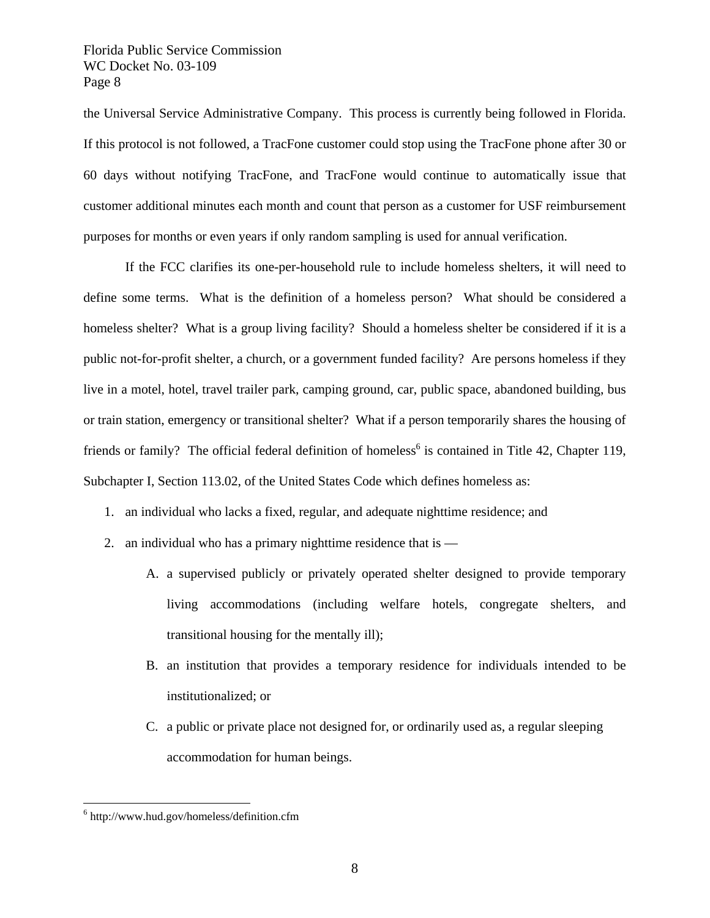the Universal Service Administrative Company. This process is currently being followed in Florida. If this protocol is not followed, a TracFone customer could stop using the TracFone phone after 30 or 60 days without notifying TracFone, and TracFone would continue to automatically issue that customer additional minutes each month and count that person as a customer for USF reimbursement purposes for months or even years if only random sampling is used for annual verification.

 If the FCC clarifies its one-per-household rule to include homeless shelters, it will need to define some terms. What is the definition of a homeless person? What should be considered a homeless shelter? What is a group living facility? Should a homeless shelter be considered if it is a public not-for-profit shelter, a church, or a government funded facility? Are persons homeless if they live in a motel, hotel, travel trailer park, camping ground, car, public space, abandoned building, bus or train station, emergency or transitional shelter? What if a person temporarily shares the housing of friends or family? The official federal definition of homeless<sup>6</sup> is contained in Title 42, Chapter 119, Subchapter I, Section 113.02, of the United States Code which defines homeless as:

- 1. an individual who lacks a fixed, regular, and adequate nighttime residence; and
- 2. an individual who has a primary nighttime residence that is  $-$ 
	- A. a supervised publicly or privately operated shelter designed to provide temporary living accommodations (including welfare hotels, congregate shelters, and transitional housing for the mentally ill);
	- B. an institution that provides a temporary residence for individuals intended to be institutionalized; or
	- C. a public or private place not designed for, or ordinarily used as, a regular sleeping accommodation for human beings.

 $\overline{a}$ 

<sup>6</sup> http://www.hud.gov/homeless/definition.cfm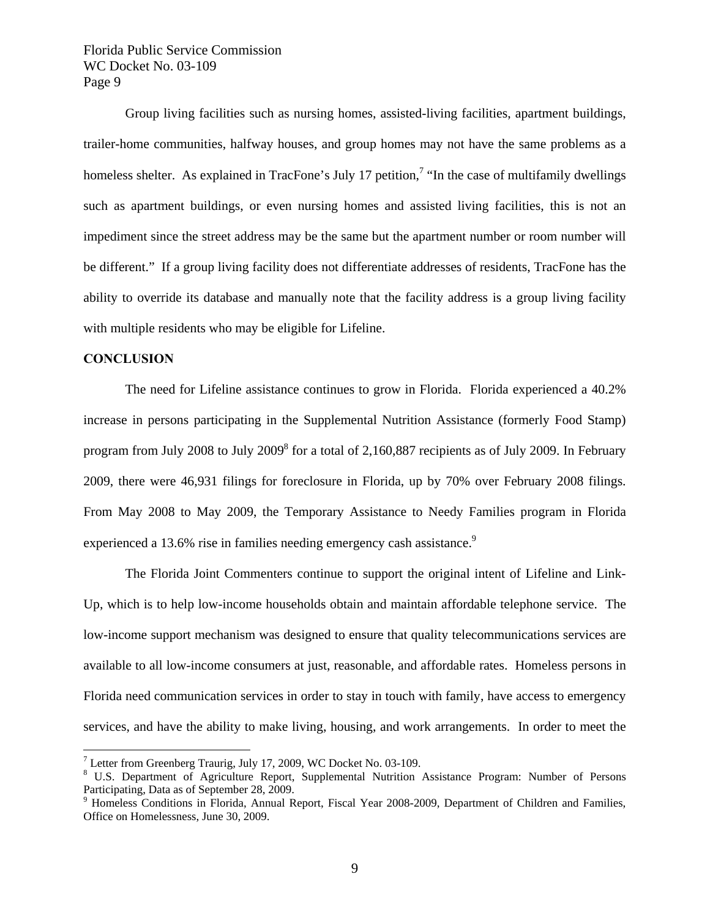Group living facilities such as nursing homes, assisted-living facilities, apartment buildings, trailer-home communities, halfway houses, and group homes may not have the same problems as a homeless shelter. As explained in TracFone's July 17 petition,<sup>7</sup> "In the case of multifamily dwellings such as apartment buildings, or even nursing homes and assisted living facilities, this is not an impediment since the street address may be the same but the apartment number or room number will be different." If a group living facility does not differentiate addresses of residents, TracFone has the ability to override its database and manually note that the facility address is a group living facility with multiple residents who may be eligible for Lifeline.

#### **CONCLUSION**

 $\overline{a}$ 

 The need for Lifeline assistance continues to grow in Florida. Florida experienced a 40.2% increase in persons participating in the Supplemental Nutrition Assistance (formerly Food Stamp) program from July 2008 to July 2009<sup>8</sup> for a total of 2,160,887 recipients as of July 2009. In February 2009, there were 46,931 filings for foreclosure in Florida, up by 70% over February 2008 filings. From May 2008 to May 2009, the Temporary Assistance to Needy Families program in Florida experienced a 13.6% rise in families needing emergency cash assistance.<sup>9</sup>

 The Florida Joint Commenters continue to support the original intent of Lifeline and Link-Up, which is to help low-income households obtain and maintain affordable telephone service. The low-income support mechanism was designed to ensure that quality telecommunications services are available to all low-income consumers at just, reasonable, and affordable rates. Homeless persons in Florida need communication services in order to stay in touch with family, have access to emergency services, and have the ability to make living, housing, and work arrangements. In order to meet the

<sup>&</sup>lt;sup>7</sup> Letter from Greenberg Traurig, July 17, 2009, WC Docket No. 03-109.

<sup>&</sup>lt;sup>8</sup> U.S. Department of Agriculture Report, Supplemental Nutrition Assistance Program: Number of Persons Participating, Data as of September 28, 2009.

<sup>&</sup>lt;sup>9</sup> Homeless Conditions in Florida, Annual Report, Fiscal Year 2008-2009, Department of Children and Families, Office on Homelessness, June 30, 2009.